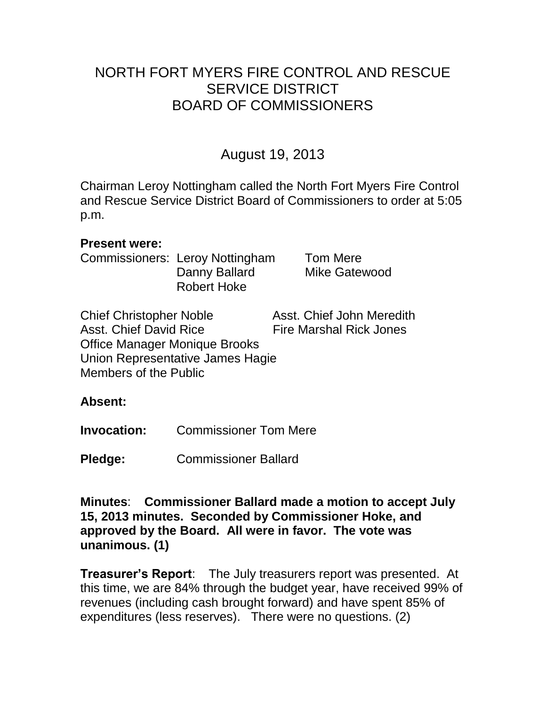## NORTH FORT MYERS FIRE CONTROL AND RESCUE SERVICE DISTRICT BOARD OF COMMISSIONERS

# August 19, 2013

Chairman Leroy Nottingham called the North Fort Myers Fire Control and Rescue Service District Board of Commissioners to order at 5:05 p.m.

#### **Present were:**

Commissioners: Leroy Nottingham Tom Mere Danny Ballard Mike Gatewood Robert Hoke

Chief Christopher Noble Asst. Chief John Meredith Asst. Chief David Rice Fire Marshal Rick Jones Office Manager Monique Brooks Union Representative James Hagie Members of the Public

#### **Absent:**

**Invocation:** Commissioner Tom Mere

**Pledge:** Commissioner Ballard

**Minutes**: **Commissioner Ballard made a motion to accept July 15, 2013 minutes. Seconded by Commissioner Hoke, and approved by the Board. All were in favor. The vote was unanimous. (1)** 

**Treasurer's Report**: The July treasurers report was presented. At this time, we are 84% through the budget year, have received 99% of revenues (including cash brought forward) and have spent 85% of expenditures (less reserves). There were no questions. (2)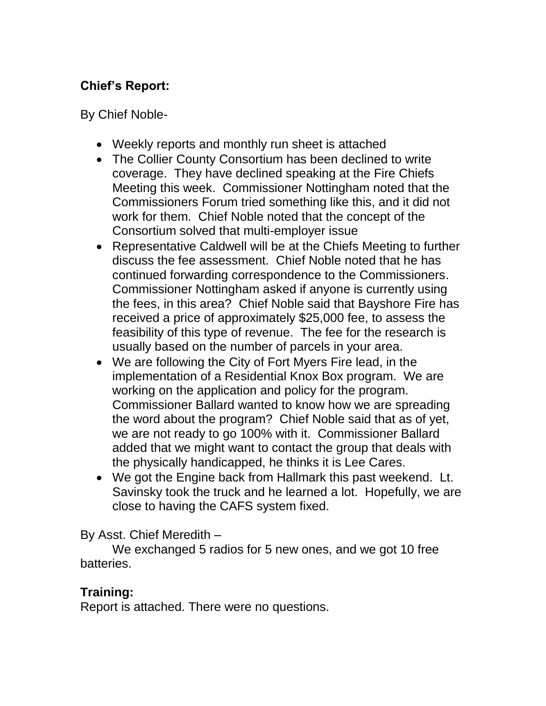## **Chief's Report:**

By Chief Noble-

- Weekly reports and monthly run sheet is attached
- The Collier County Consortium has been declined to write coverage. They have declined speaking at the Fire Chiefs Meeting this week. Commissioner Nottingham noted that the Commissioners Forum tried something like this, and it did not work for them. Chief Noble noted that the concept of the Consortium solved that multi-employer issue
- Representative Caldwell will be at the Chiefs Meeting to further discuss the fee assessment. Chief Noble noted that he has continued forwarding correspondence to the Commissioners. Commissioner Nottingham asked if anyone is currently using the fees, in this area? Chief Noble said that Bayshore Fire has received a price of approximately \$25,000 fee, to assess the feasibility of this type of revenue. The fee for the research is usually based on the number of parcels in your area.
- We are following the City of Fort Myers Fire lead, in the implementation of a Residential Knox Box program. We are working on the application and policy for the program. Commissioner Ballard wanted to know how we are spreading the word about the program? Chief Noble said that as of yet, we are not ready to go 100% with it. Commissioner Ballard added that we might want to contact the group that deals with the physically handicapped, he thinks it is Lee Cares.
- We got the Engine back from Hallmark this past weekend. Lt. Savinsky took the truck and he learned a lot. Hopefully, we are close to having the CAFS system fixed.

By Asst. Chief Meredith –

We exchanged 5 radios for 5 new ones, and we got 10 free batteries.

### **Training:**

Report is attached. There were no questions.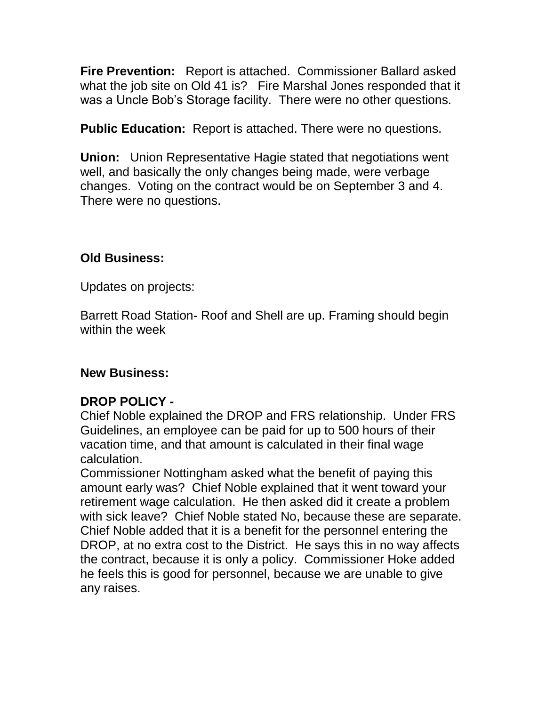**Fire Prevention:** Report is attached. Commissioner Ballard asked what the job site on Old 41 is? Fire Marshal Jones responded that it was a Uncle Bob's Storage facility. There were no other questions.

**Public Education:** Report is attached. There were no questions.

**Union:** Union Representative Hagie stated that negotiations went well, and basically the only changes being made, were verbage changes. Voting on the contract would be on September 3 and 4. There were no questions.

### **Old Business:**

Updates on projects:

Barrett Road Station- Roof and Shell are up. Framing should begin within the week

### **New Business:**

### **DROP POLICY -**

Chief Noble explained the DROP and FRS relationship. Under FRS Guidelines, an employee can be paid for up to 500 hours of their vacation time, and that amount is calculated in their final wage calculation.

Commissioner Nottingham asked what the benefit of paying this amount early was? Chief Noble explained that it went toward your retirement wage calculation. He then asked did it create a problem with sick leave? Chief Noble stated No, because these are separate. Chief Noble added that it is a benefit for the personnel entering the DROP, at no extra cost to the District. He says this in no way affects the contract, because it is only a policy. Commissioner Hoke added he feels this is good for personnel, because we are unable to give any raises.